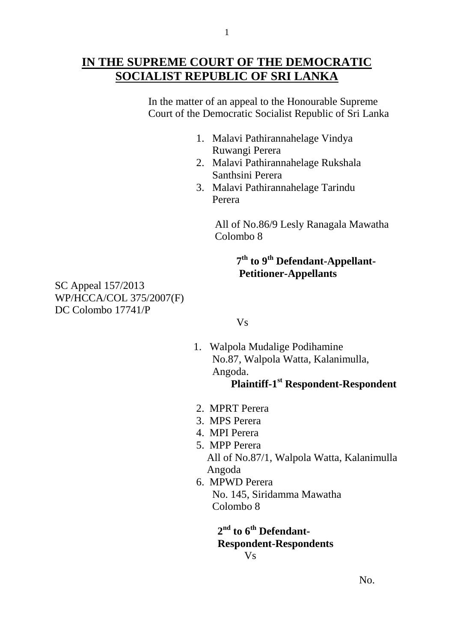# **IN THE SUPREME COURT OF THE DEMOCRATIC SOCIALIST REPUBLIC OF SRI LANKA**

 In the matter of an appeal to the Honourable Supreme Court of the Democratic Socialist Republic of Sri Lanka

- 1. Malavi Pathirannahelage Vindya Ruwangi Perera
- 2. Malavi Pathirannahelage Rukshala Santhsini Perera
- 3. Malavi Pathirannahelage Tarindu Perera

 All of No.86/9 Lesly Ranagala Mawatha Colombo 8

#### **7 th to 9th Defendant-Appellant- Petitioner-Appellants**

SC Appeal 157/2013 WP/HCCA/COL 375/2007(F) DC Colombo 17741/P

## Vs

 1.Walpola Mudalige Podihamine No.87, Walpola Watta, Kalanimulla, Angoda.

# **Plaintiff-1<sup>st</sup> Respondent-Respondent**

- 2. MPRT Perera
- 3. MPS Perera
- 4. MPI Perera
- 5. MPP Perera All of No.87/1, Walpola Watta, Kalanimulla Angoda
- 6. MPWD Perera No. 145, Siridamma Mawatha Colombo 8

 **2 nd to 6th Defendant- Respondent-Respondents** Vs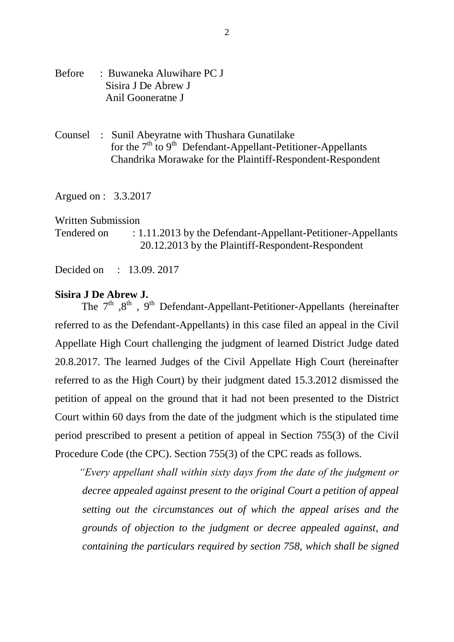- Before : Buwaneka Aluwihare PC J Sisira J De Abrew J Anil Gooneratne J
- Counsel : Sunil Abeyratne with Thushara Gunatilake for the  $7<sup>th</sup>$  to  $9<sup>th</sup>$  Defendant-Appellant-Petitioner-Appellants Chandrika Morawake for the Plaintiff-Respondent-Respondent

Argued on : 3.3.2017

#### Written Submission

Tendered on : 1.11.2013 by the Defendant-Appellant-Petitioner-Appellants 20.12.2013 by the Plaintiff-Respondent-Respondent

Decided on : 13.09. 2017

#### **Sisira J De Abrew J.**

The  $7<sup>th</sup>$ ,  $8<sup>th</sup>$ ,  $9<sup>th</sup>$  Defendant-Appellant-Petitioner-Appellants (hereinafter referred to as the Defendant-Appellants) in this case filed an appeal in the Civil Appellate High Court challenging the judgment of learned District Judge dated 20.8.2017. The learned Judges of the Civil Appellate High Court (hereinafter referred to as the High Court) by their judgment dated 15.3.2012 dismissed the petition of appeal on the ground that it had not been presented to the District Court within 60 days from the date of the judgment which is the stipulated time period prescribed to present a petition of appeal in Section 755(3) of the Civil Procedure Code (the CPC). Section 755(3) of the CPC reads as follows.

 *"Every appellant shall within sixty days from the date of the judgment or decree appealed against present to the original Court a petition of appeal setting out the circumstances out of which the appeal arises and the grounds of objection to the judgment or decree appealed against, and containing the particulars required by section 758, which shall be signed*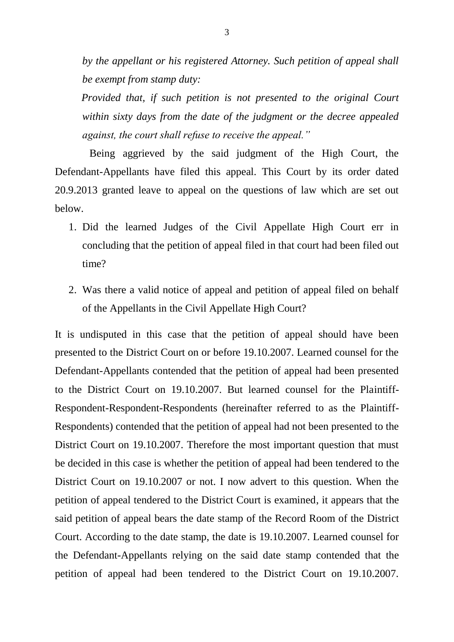*by the appellant or his registered Attorney. Such petition of appeal shall be exempt from stamp duty:*

 *Provided that, if such petition is not presented to the original Court within sixty days from the date of the judgment or the decree appealed against, the court shall refuse to receive the appeal."* 

 Being aggrieved by the said judgment of the High Court, the Defendant-Appellants have filed this appeal. This Court by its order dated 20.9.2013 granted leave to appeal on the questions of law which are set out below.

- 1. Did the learned Judges of the Civil Appellate High Court err in concluding that the petition of appeal filed in that court had been filed out time?
- 2. Was there a valid notice of appeal and petition of appeal filed on behalf of the Appellants in the Civil Appellate High Court?

It is undisputed in this case that the petition of appeal should have been presented to the District Court on or before 19.10.2007. Learned counsel for the Defendant-Appellants contended that the petition of appeal had been presented to the District Court on 19.10.2007. But learned counsel for the Plaintiff-Respondent-Respondent-Respondents (hereinafter referred to as the Plaintiff-Respondents) contended that the petition of appeal had not been presented to the District Court on 19.10.2007. Therefore the most important question that must be decided in this case is whether the petition of appeal had been tendered to the District Court on 19.10.2007 or not. I now advert to this question. When the petition of appeal tendered to the District Court is examined, it appears that the said petition of appeal bears the date stamp of the Record Room of the District Court. According to the date stamp, the date is 19.10.2007. Learned counsel for the Defendant-Appellants relying on the said date stamp contended that the petition of appeal had been tendered to the District Court on 19.10.2007.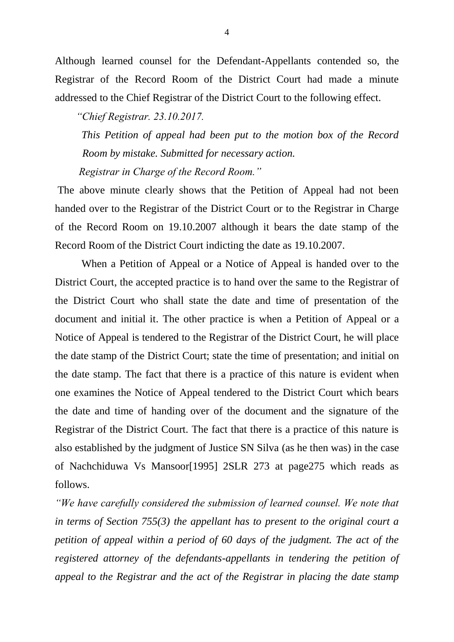Although learned counsel for the Defendant-Appellants contended so, the Registrar of the Record Room of the District Court had made a minute addressed to the Chief Registrar of the District Court to the following effect.

 *"Chief Registrar. 23.10.2017.*

 *This Petition of appeal had been put to the motion box of the Record Room by mistake. Submitted for necessary action.*

 *Registrar in Charge of the Record Room."* 

The above minute clearly shows that the Petition of Appeal had not been handed over to the Registrar of the District Court or to the Registrar in Charge of the Record Room on 19.10.2007 although it bears the date stamp of the Record Room of the District Court indicting the date as 19.10.2007.

 When a Petition of Appeal or a Notice of Appeal is handed over to the District Court, the accepted practice is to hand over the same to the Registrar of the District Court who shall state the date and time of presentation of the document and initial it. The other practice is when a Petition of Appeal or a Notice of Appeal is tendered to the Registrar of the District Court, he will place the date stamp of the District Court; state the time of presentation; and initial on the date stamp. The fact that there is a practice of this nature is evident when one examines the Notice of Appeal tendered to the District Court which bears the date and time of handing over of the document and the signature of the Registrar of the District Court. The fact that there is a practice of this nature is also established by the judgment of Justice SN Silva (as he then was) in the case of Nachchiduwa Vs Mansoor[1995] 2SLR 273 at page275 which reads as follows.

*"We have carefully considered the submission of learned counsel. We note that in terms of Section 755(3) the appellant has to present to the original court a petition of appeal within a period of 60 days of the judgment. The act of the registered attorney of the defendants-appellants in tendering the petition of appeal to the Registrar and the act of the Registrar in placing the date stamp*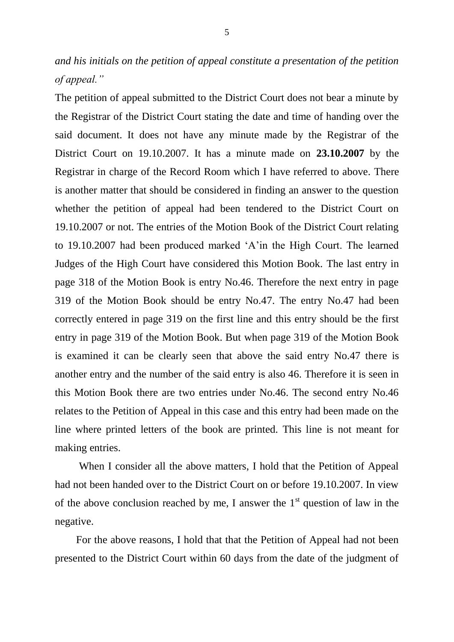*and his initials on the petition of appeal constitute a presentation of the petition of appeal."* 

The petition of appeal submitted to the District Court does not bear a minute by the Registrar of the District Court stating the date and time of handing over the said document. It does not have any minute made by the Registrar of the District Court on 19.10.2007. It has a minute made on **23.10.2007** by the Registrar in charge of the Record Room which I have referred to above. There is another matter that should be considered in finding an answer to the question whether the petition of appeal had been tendered to the District Court on 19.10.2007 or not. The entries of the Motion Book of the District Court relating to 19.10.2007 had been produced marked "A"in the High Court. The learned Judges of the High Court have considered this Motion Book. The last entry in page 318 of the Motion Book is entry No.46. Therefore the next entry in page 319 of the Motion Book should be entry No.47. The entry No.47 had been correctly entered in page 319 on the first line and this entry should be the first entry in page 319 of the Motion Book. But when page 319 of the Motion Book is examined it can be clearly seen that above the said entry No.47 there is another entry and the number of the said entry is also 46. Therefore it is seen in this Motion Book there are two entries under No.46. The second entry No.46 relates to the Petition of Appeal in this case and this entry had been made on the line where printed letters of the book are printed. This line is not meant for making entries.

 When I consider all the above matters, I hold that the Petition of Appeal had not been handed over to the District Court on or before 19.10.2007. In view of the above conclusion reached by me, I answer the  $1<sup>st</sup>$  question of law in the negative.

 For the above reasons, I hold that that the Petition of Appeal had not been presented to the District Court within 60 days from the date of the judgment of